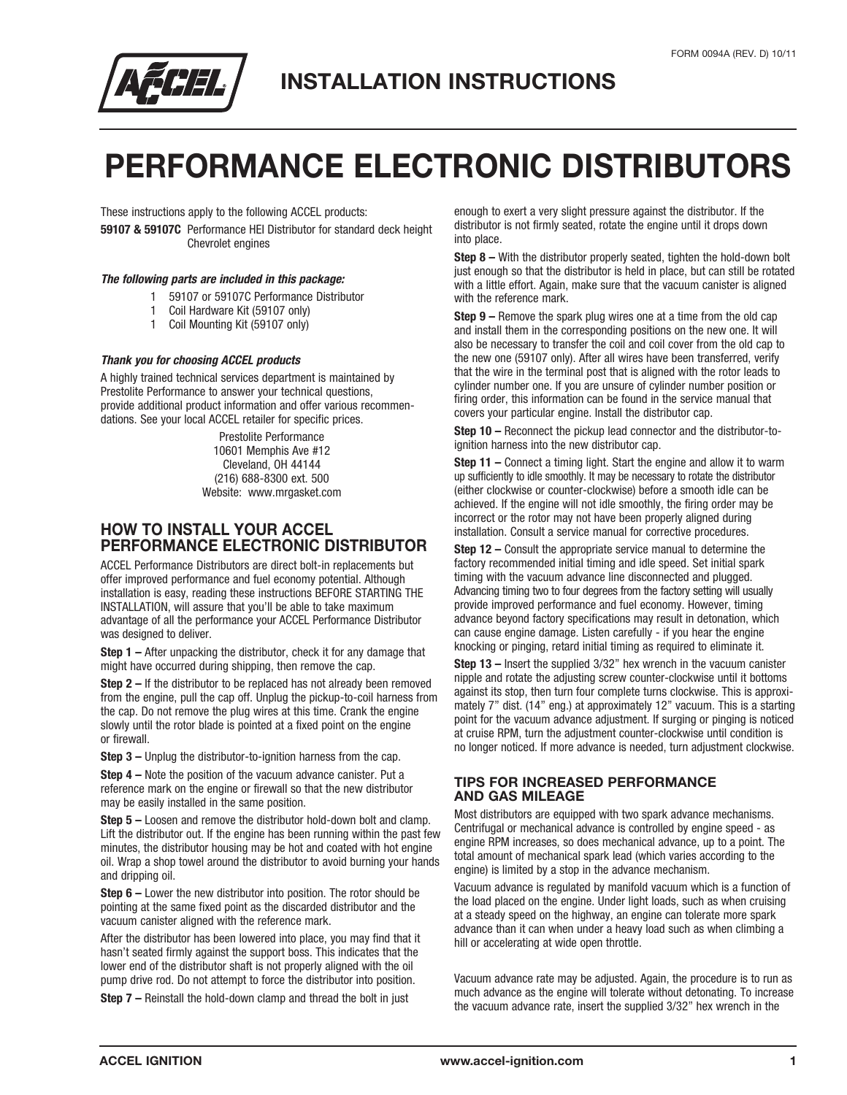

# **PERFORMANCE ELECTRONIC DISTRIBUTORS**

These instructions apply to the following ACCEL products:

**59107 & 59107C** Performance HEI Distributor for standard deck height Chevrolet engines

### *The following parts are included in this package:*

- 1 59107 or 59107C Performance Distributor
- 1 Coil Hardware Kit (59107 only)
- 1 Coil Mounting Kit (59107 only)

### *Thank you for choosing ACCEL products*

A highly trained technical services department is maintained by Prestolite Performance to answer your technical questions, provide additional product information and offer various recommendations. See your local ACCEL retailer for specific prices.

> Prestolite Performance 10601 Memphis Ave #12 Cleveland, OH 44144 (216) 688-8300 ext. 500 Website: www.mrgasket.com

### **HOW TO INSTALL YOUR ACCEL PERFORMANCE ELECTRONIC DISTRIBUTOR**

ACCEL Performance Distributors are direct bolt-in replacements but offer improved performance and fuel economy potential. Although installation is easy, reading these instructions BEFORE STARTING THE INSTALLATION, will assure that you'll be able to take maximum advantage of all the performance your ACCEL Performance Distributor was designed to deliver.

**Step 1 –** After unpacking the distributor, check it for any damage that might have occurred during shipping, then remove the cap.

**Step 2 –** If the distributor to be replaced has not already been removed from the engine, pull the cap off. Unplug the pickup-to-coil harness from the cap. Do not remove the plug wires at this time. Crank the engine slowly until the rotor blade is pointed at a fixed point on the engine or firewall.

**Step 3 –** Unplug the distributor-to-ignition harness from the cap.

**Step 4 –** Note the position of the vacuum advance canister. Put a reference mark on the engine or firewall so that the new distributor may be easily installed in the same position.

**Step 5 –** Loosen and remove the distributor hold-down bolt and clamp. Lift the distributor out. If the engine has been running within the past few minutes, the distributor housing may be hot and coated with hot engine oil. Wrap a shop towel around the distributor to avoid burning your hands and dripping oil.

**Step 6 –** Lower the new distributor into position. The rotor should be pointing at the same fixed point as the discarded distributor and the vacuum canister aligned with the reference mark.

After the distributor has been lowered into place, you may find that it hasn't seated firmly against the support boss. This indicates that the lower end of the distributor shaft is not properly aligned with the oil pump drive rod. Do not attempt to force the distributor into position.

**Step 7 –** Reinstall the hold-down clamp and thread the bolt in just

enough to exert a very slight pressure against the distributor. If the distributor is not firmly seated, rotate the engine until it drops down into place.

**Step 8 –** With the distributor properly seated, tighten the hold-down bolt just enough so that the distributor is held in place, but can still be rotated with a little effort. Again, make sure that the vacuum canister is aligned with the reference mark.

**Step 9 –** Remove the spark plug wires one at a time from the old cap and install them in the corresponding positions on the new one. It will also be necessary to transfer the coil and coil cover from the old cap to the new one (59107 only). After all wires have been transferred, verify that the wire in the terminal post that is aligned with the rotor leads to cylinder number one. If you are unsure of cylinder number position or firing order, this information can be found in the service manual that covers your particular engine. Install the distributor cap.

**Step 10 –** Reconnect the pickup lead connector and the distributor-toignition harness into the new distributor cap.

**Step 11 –** Connect a timing light. Start the engine and allow it to warm up sufficiently to idle smoothly. It may be necessary to rotate the distributor (either clockwise or counter-clockwise) before a smooth idle can be achieved. If the engine will not idle smoothly, the firing order may be incorrect or the rotor may not have been properly aligned during installation. Consult a service manual for corrective procedures.

**Step 12 –** Consult the appropriate service manual to determine the factory recommended initial timing and idle speed. Set initial spark timing with the vacuum advance line disconnected and plugged. Advancing timing two to four degrees from the factory setting will usually provide improved performance and fuel economy. However, timing advance beyond factory specifications may result in detonation, which can cause engine damage. Listen carefully - if you hear the engine knocking or pinging, retard initial timing as required to eliminate it.

**Step 13 –** Insert the supplied 3/32" hex wrench in the vacuum canister nipple and rotate the adjusting screw counter-clockwise until it bottoms against its stop, then turn four complete turns clockwise. This is approximately 7" dist. (14" eng.) at approximately 12" vacuum. This is a starting point for the vacuum advance adjustment. If surging or pinging is noticed at cruise RPM, turn the adjustment counter-clockwise until condition is no longer noticed. If more advance is needed, turn adjustment clockwise.

### **TIPS FOR INCREASED PERFORMANCE AND GAS MILEAGE**

Most distributors are equipped with two spark advance mechanisms. Centrifugal or mechanical advance is controlled by engine speed - as engine RPM increases, so does mechanical advance, up to a point. The total amount of mechanical spark lead (which varies according to the engine) is limited by a stop in the advance mechanism.

Vacuum advance is regulated by manifold vacuum which is a function of the load placed on the engine. Under light loads, such as when cruising at a steady speed on the highway, an engine can tolerate more spark advance than it can when under a heavy load such as when climbing a hill or accelerating at wide open throttle.

Vacuum advance rate may be adjusted. Again, the procedure is to run as much advance as the engine will tolerate without detonating. To increase the vacuum advance rate, insert the supplied 3/32" hex wrench in the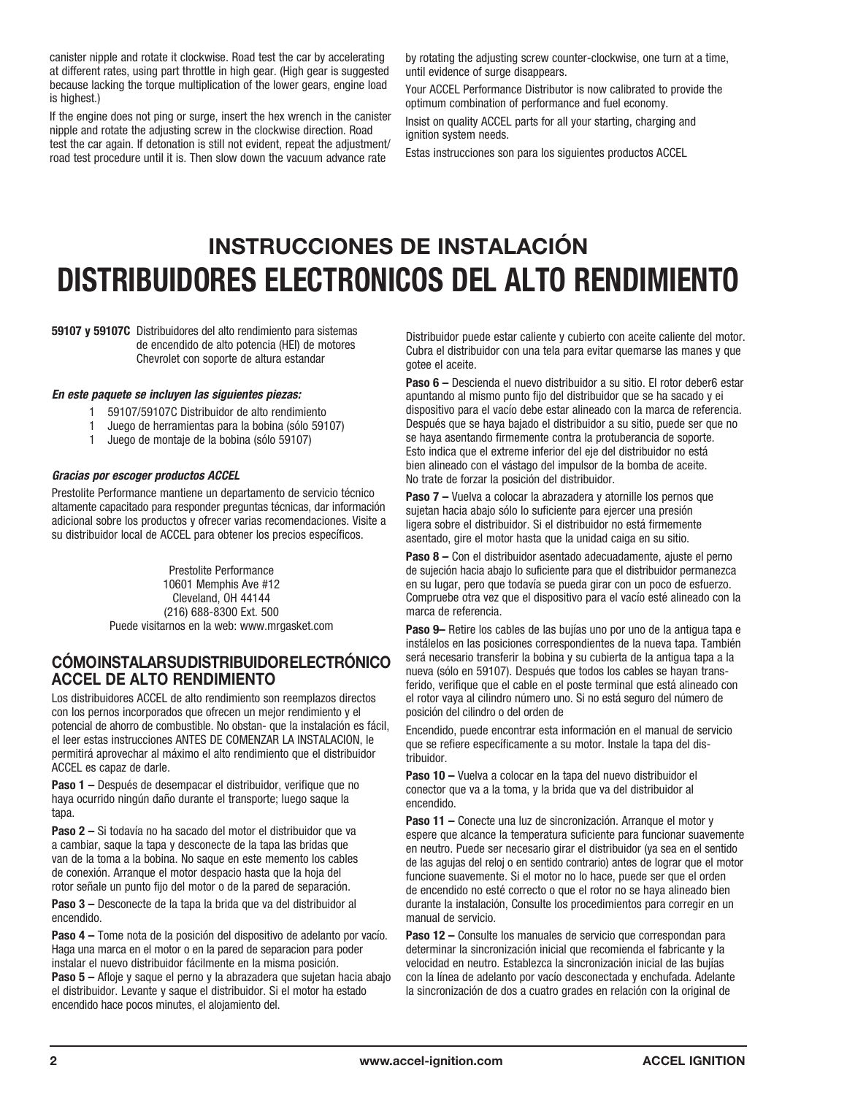canister nipple and rotate it clockwise. Road test the car by accelerating at different rates, using part throttle in high gear. (High gear is suggested because lacking the torque multiplication of the lower gears, engine load is highest.)

If the engine does not ping or surge, insert the hex wrench in the canister nipple and rotate the adjusting screw in the clockwise direction. Road test the car again. If detonation is still not evident, repeat the adjustment/ road test procedure until it is. Then slow down the vacuum advance rate

by rotating the adjusting screw counter-clockwise, one turn at a time, until evidence of surge disappears.

Your ACCEL Performance Distributor is now calibrated to provide the optimum combination of performance and fuel economy.

Insist on quality ACCEL parts for all your starting, charging and ignition system needs.

Estas instrucciones son para los siguientes productos ACCEL

# **INSTRUCCIONES DE INSTALACIÓN DISTRIBUIDORES ELECTRONICOS DEL ALTO RENDIMIENTO**

**59107 y 59107C** Distribuidores del alto rendimiento para sistemas de encendido de alto potencia (HEI) de motores Chevrolet con soporte de altura estandar

### *En este paquete se incluyen las siguientes piezas:*

- 1 59107/59107C Distribuidor de alto rendimiento
- 1 Juego de herramientas para la bobina (sólo 59107)
- 1 Juego de montaje de la bobina (sólo 59107)

### *Gracias por escoger productos ACCEL*

Prestolite Performance mantiene un departamento de servicio técnico altamente capacitado para responder preguntas técnicas, dar información adicional sobre los productos y ofrecer varias recomendaciones. Visite a su distribuidor local de ACCEL para obtener los precios específicos.

> Prestolite Performance 10601 Memphis Ave #12 Cleveland, OH 44144 (216) 688-8300 Ext. 500 Puede visitarnos en la web: www.mrgasket.com

## **CÓMO INSTALAR SU DISTRIBUIDOR ELECTRÓNICO ACCEL DE ALTO RENDIMIENTO**

Los distribuidores ACCEL de alto rendimiento son reemplazos directos con los pernos incorporados que ofrecen un mejor rendimiento y el potencial de ahorro de combustible. No obstan- que la instalación es fácil, el leer estas instrucciones ANTES DE COMENZAR LA INSTALACION, le permitirá aprovechar al máximo el alto rendimiento que el distribuidor ACCEL es capaz de darle.

**Paso 1 –** Después de desempacar el distribuidor, verifique que no haya ocurrido ningún daño durante el transporte; luego saque la tapa.

**Paso 2 –** Si todavía no ha sacado del motor el distribuidor que va a cambiar, saque la tapa y desconecte de la tapa las bridas que van de la toma a la bobina. No saque en este memento los cables de conexión. Arranque el motor despacio hasta que la hoja del rotor señale un punto fijo del motor o de la pared de separación.

**Paso 3 –** Desconecte de la tapa la brida que va del distribuidor al encendido.

**Paso 4 –** Tome nota de la posición del dispositivo de adelanto por vacío. Haga una marca en el motor o en la pared de separacion para poder instalar el nuevo distribuidor fácilmente en la misma posición.

**Paso 5 –** Afloje y saque el perno y la abrazadera que sujetan hacia abajo el distribuidor. Levante y saque el distribuidor. Si el motor ha estado encendido hace pocos minutes, el alojamiento del.

Distribuidor puede estar caliente y cubierto con aceite caliente del motor. Cubra el distribuidor con una tela para evitar quemarse las manes y que gotee el aceite.

**Paso 6 –** Descienda el nuevo distribuidor a su sitio. El rotor deber6 estar apuntando al mismo punto fijo del distribuidor que se ha sacado y ei dispositivo para el vacío debe estar alineado con la marca de referencia. Después que se haya bajado el distribuidor a su sitio, puede ser que no se haya asentando firmemente contra la protuberancia de soporte. Esto indica que el extreme inferior del eje del distribuidor no está bien alineado con el vástago del impulsor de la bomba de aceite. No trate de forzar la posición del distribuidor.

**Paso 7 –** Vuelva a colocar la abrazadera y atornille los pernos que sujetan hacia abajo sólo lo suficiente para ejercer una presión ligera sobre el distribuidor. Si el distribuidor no está firmemente asentado, gire el motor hasta que la unidad caiga en su sitio.

**Paso 8 –** Con el distribuidor asentado adecuadamente, ajuste el perno de sujeción hacia abajo lo suficiente para que el distribuidor permanezca en su lugar, pero que todavía se pueda girar con un poco de esfuerzo. Compruebe otra vez que el dispositivo para el vacío esté alineado con la marca de referencia.

**Paso 9–** Retire los cables de las bujías uno por uno de la antigua tapa e instálelos en las posiciones correspondientes de la nueva tapa. También será necesario transferir la bobina y su cubierta de la antigua tapa a la nueva (sólo en 59107). Después que todos los cables se hayan transferido, verifique que el cable en el poste terminal que está alineado con el rotor vaya al cilindro número uno. Si no está seguro del número de posición del cilindro o del orden de

Encendido, puede encontrar esta información en el manual de servicio que se refiere específicamente a su motor. Instale la tapa del distribuidor.

**Paso 10 –** Vuelva a colocar en la tapa del nuevo distribuidor el conector que va a la toma, y la brida que va del distribuidor al encendido.

**Paso 11 –** Conecte una luz de sincronización. Arranque el motor y espere que alcance la temperatura suficiente para funcionar suavemente en neutro. Puede ser necesario girar el distribuidor (ya sea en el sentido de las agujas del reloj o en sentido contrario) antes de lograr que el motor funcione suavemente. Si el motor no lo hace, puede ser que el orden de encendido no esté correcto o que el rotor no se haya alineado bien durante la instalación, Consulte los procedimientos para corregir en un manual de servicio.

**Paso 12 –** Consulte los manuales de servicio que correspondan para determinar la sincronización inicial que recomienda el fabricante y la velocidad en neutro. Establezca la sincronización inicial de las bujías con la Iínea de adelanto por vacío desconectada y enchufada. Adelante la sincronización de dos a cuatro grades en relación con la original de